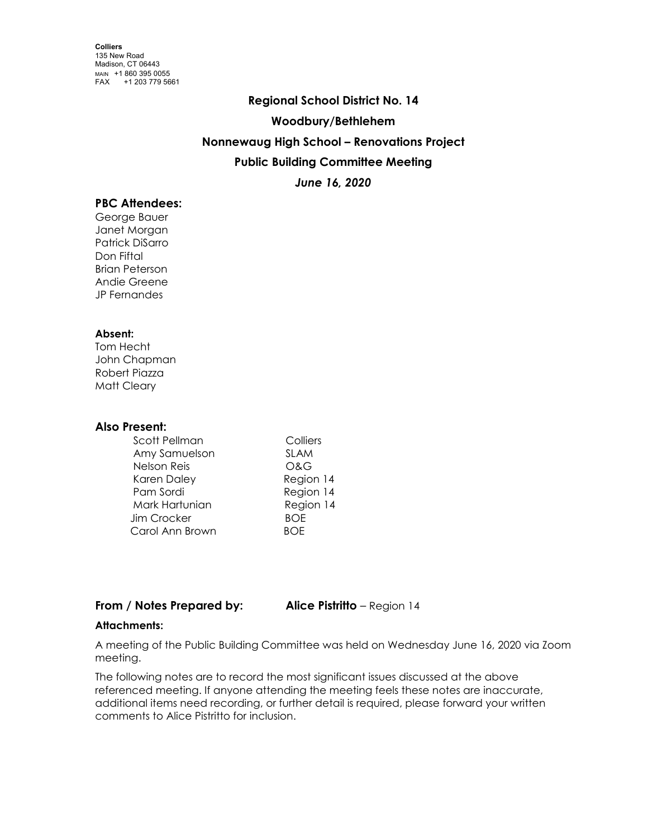# **Regional School District No. 14 Woodbury/Bethlehem Nonnewaug High School – Renovations Project Public Building Committee Meeting** *June 16, 2020*

## **PBC Attendees:**

George Bauer Janet Morgan Patrick DiSarro Don Fiftal Brian Peterson Andie Greene JP Fernandes

#### **Absent:**

Tom Hecht John Chapman Robert Piazza Matt Cleary

## **Also Present:**

| Colliers    |
|-------------|
| <b>SLAM</b> |
| O&G         |
| Region 14   |
| Region 14   |
| Region 14   |
| <b>BOF</b>  |
| ROF         |
|             |

## **From / Notes Prepared by: Alice Pistritto** – Region 14

## **Attachments:**

A meeting of the Public Building Committee was held on Wednesday June 16, 2020 via Zoom meeting.

The following notes are to record the most significant issues discussed at the above referenced meeting. If anyone attending the meeting feels these notes are inaccurate, additional items need recording, or further detail is required, please forward your written comments to Alice Pistritto for inclusion.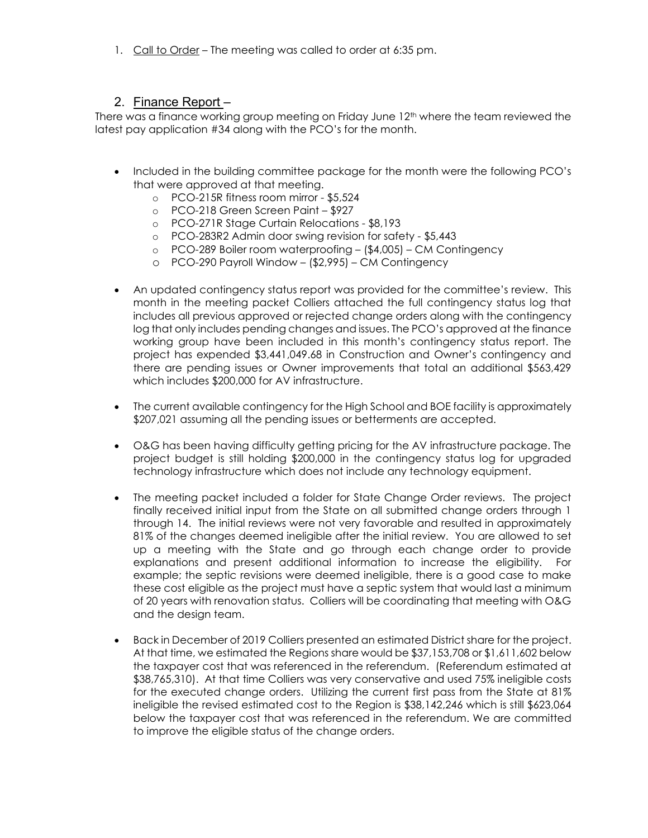1. Call to Order – The meeting was called to order at 6:35 pm.

## 2. Finance Report –

There was a finance working group meeting on Friday June 12<sup>th</sup> where the team reviewed the latest pay application #34 along with the PCO's for the month.

- Included in the building committee package for the month were the following PCO's that were approved at that meeting.
	- o PCO-215R fitness room mirror \$5,524
	- o PCO-218 Green Screen Paint \$927
	- o PCO-271R Stage Curtain Relocations \$8,193
	- o PCO-283R2 Admin door swing revision for safety \$5,443
	- o PCO-289 Boiler room waterproofing (\$4,005) CM Contingency
	- o PCO-290 Payroll Window (\$2,995) CM Contingency
- An updated contingency status report was provided for the committee's review. This month in the meeting packet Colliers attached the full contingency status log that includes all previous approved or rejected change orders along with the contingency log that only includes pending changes and issues. The PCO's approved at the finance working group have been included in this month's contingency status report. The project has expended \$3,441,049.68 in Construction and Owner's contingency and there are pending issues or Owner improvements that total an additional \$563,429 which includes \$200,000 for AV infrastructure.
- The current available contingency for the High School and BOE facility is approximately \$207,021 assuming all the pending issues or betterments are accepted.
- O&G has been having difficulty getting pricing for the AV infrastructure package. The project budget is still holding \$200,000 in the contingency status log for upgraded technology infrastructure which does not include any technology equipment.
- The meeting packet included a folder for State Change Order reviews. The project finally received initial input from the State on all submitted change orders through 1 through 14. The initial reviews were not very favorable and resulted in approximately 81% of the changes deemed ineligible after the initial review. You are allowed to set up a meeting with the State and go through each change order to provide explanations and present additional information to increase the eligibility. For example; the septic revisions were deemed ineligible, there is a good case to make these cost eligible as the project must have a septic system that would last a minimum of 20 years with renovation status. Colliers will be coordinating that meeting with O&G and the design team.
- Back in December of 2019 Colliers presented an estimated District share for the project. At that time, we estimated the Regions share would be \$37,153,708 or \$1,611,602 below the taxpayer cost that was referenced in the referendum. (Referendum estimated at \$38,765,310). At that time Colliers was very conservative and used 75% ineligible costs for the executed change orders. Utilizing the current first pass from the State at 81% ineligible the revised estimated cost to the Region is \$38,142,246 which is still \$623,064 below the taxpayer cost that was referenced in the referendum. We are committed to improve the eligible status of the change orders.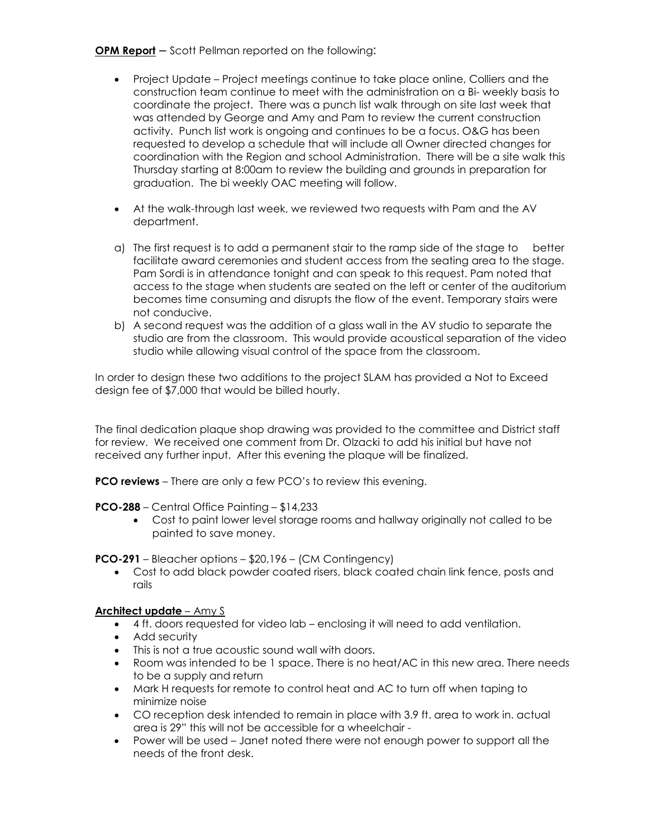**OPM Report** – Scott Pellman reported on the following:

- Project Update Project meetings continue to take place online, Colliers and the construction team continue to meet with the administration on a Bi- weekly basis to coordinate the project. There was a punch list walk through on site last week that was attended by George and Amy and Pam to review the current construction activity. Punch list work is ongoing and continues to be a focus. O&G has been requested to develop a schedule that will include all Owner directed changes for coordination with the Region and school Administration. There will be a site walk this Thursday starting at 8:00am to review the building and grounds in preparation for graduation. The bi weekly OAC meeting will follow.
- At the walk-through last week, we reviewed two requests with Pam and the AV department.
- a) The first request is to add a permanent stair to the ramp side of the stage to better facilitate award ceremonies and student access from the seating area to the stage. Pam Sordi is in attendance tonight and can speak to this request. Pam noted that access to the stage when students are seated on the left or center of the auditorium becomes time consuming and disrupts the flow of the event. Temporary stairs were not conducive.
- b) A second request was the addition of a glass wall in the AV studio to separate the studio are from the classroom. This would provide acoustical separation of the video studio while allowing visual control of the space from the classroom.

In order to design these two additions to the project SLAM has provided a Not to Exceed design fee of \$7,000 that would be billed hourly.

The final dedication plaque shop drawing was provided to the committee and District staff for review. We received one comment from Dr. Olzacki to add his initial but have not received any further input. After this evening the plaque will be finalized.

**PCO reviews** – There are only a few PCO's to review this evening.

**PCO-288** – Central Office Painting – \$14,233

• Cost to paint lower level storage rooms and hallway originally not called to be painted to save money.

**PCO-291** – Bleacher options – \$20,196 – (CM Contingency)

• Cost to add black powder coated risers, black coated chain link fence, posts and rails

## **Architect update** – Amy S

- 4 ft. doors requested for video lab enclosing it will need to add ventilation.
- Add security
- This is not a true acoustic sound wall with doors.
- Room was intended to be 1 space. There is no heat/AC in this new area. There needs to be a supply and return
- Mark H requests for remote to control heat and AC to turn off when taping to minimize noise
- CO reception desk intended to remain in place with 3.9 ft. area to work in. actual area is 29" this will not be accessible for a wheelchair -
- Power will be used Janet noted there were not enough power to support all the needs of the front desk.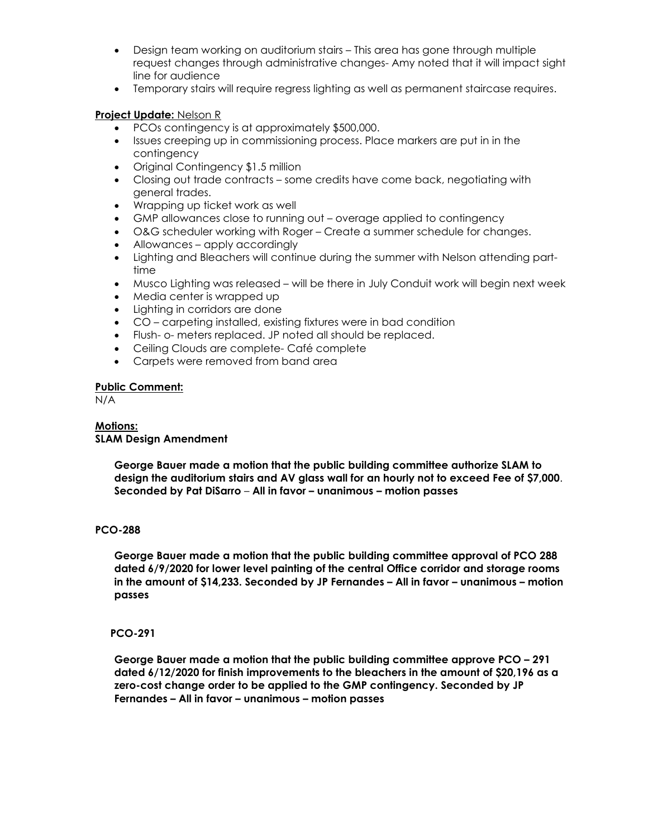- Design team working on auditorium stairs This area has gone through multiple request changes through administrative changes- Amy noted that it will impact sight line for audience
- Temporary stairs will require regress lighting as well as permanent staircase requires.

## **Project Update:** Nelson R

- PCOs contingency is at approximately \$500,000.
- Issues creeping up in commissioning process. Place markers are put in in the contingency
- Original Contingency \$1.5 million
- Closing out trade contracts some credits have come back, negotiating with general trades.
- Wrapping up ticket work as well
- GMP allowances close to running out overage applied to contingency
- O&G scheduler working with Roger Create a summer schedule for changes.
- Allowances apply accordingly
- Lighting and Bleachers will continue during the summer with Nelson attending parttime
- Musco Lighting was released will be there in July Conduit work will begin next week
- Media center is wrapped up
- Lighting in corridors are done
- CO carpeting installed, existing fixtures were in bad condition
- Flush- o- meters replaced. JP noted all should be replaced.
- Ceiling Clouds are complete- Café complete
- Carpets were removed from band area

## **Public Comment:**

N/A

## **Motions: SLAM Design Amendment**

**George Bauer made a motion that the public building committee authorize SLAM to design the auditorium stairs and AV glass wall for an hourly not to exceed Fee of \$7,000**. **Seconded by Pat DiSarro** – **All in favor – unanimous – motion passes**

## **PCO-288**

**George Bauer made a motion that the public building committee approval of PCO 288 dated 6/9/2020 for lower level painting of the central Office corridor and storage rooms in the amount of \$14,233. Seconded by JP Fernandes – All in favor – unanimous – motion passes**

## **PCO-291**

**George Bauer made a motion that the public building committee approve PCO – 291 dated 6/12/2020 for finish improvements to the bleachers in the amount of \$20,196 as a zero-cost change order to be applied to the GMP contingency. Seconded by JP Fernandes – All in favor – unanimous – motion passes**